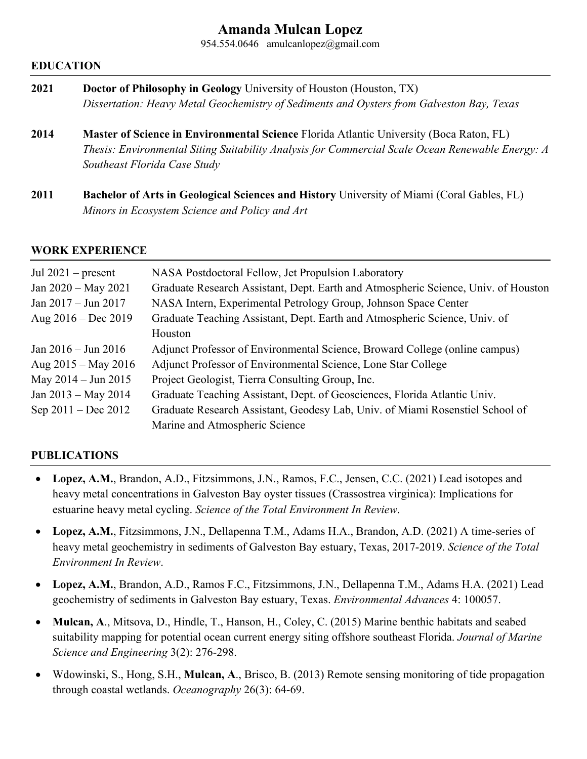# **Amanda Mulcan Lopez**

954.554.0646 amulcanlopez@gmail.com

### **EDUCATION**

| 2021 | <b>Doctor of Philosophy in Geology University of Houston (Houston, TX)</b>                |  |
|------|-------------------------------------------------------------------------------------------|--|
|      | Dissertation: Heavy Metal Geochemistry of Sediments and Oysters from Galveston Bay, Texas |  |
|      |                                                                                           |  |

- **2014 Master of Science in Environmental Science** Florida Atlantic University (Boca Raton, FL) *Thesis: Environmental Siting Suitability Analysis for Commercial Scale Ocean Renewable Energy: A Southeast Florida Case Study*
- **2011 Bachelor of Arts in Geological Sciences and History** University of Miami (Coral Gables, FL) *Minors in Ecosystem Science and Policy and Art*

### **WORK EXPERIENCE**

| Jul $2021$ – present          | NASA Postdoctoral Fellow, Jet Propulsion Laboratory                                                             |
|-------------------------------|-----------------------------------------------------------------------------------------------------------------|
| Jan $2020 - May 2021$         | Graduate Research Assistant, Dept. Earth and Atmospheric Science, Univ. of Houston                              |
| Jan $2017 -$ Jun $2017$       | NASA Intern, Experimental Petrology Group, Johnson Space Center                                                 |
| Aug $2016 - Dec 2019$         | Graduate Teaching Assistant, Dept. Earth and Atmospheric Science, Univ. of<br>Houston                           |
| Jan $2016 - \text{Jun } 2016$ | Adjunct Professor of Environmental Science, Broward College (online campus)                                     |
| Aug $2015 -$ May 2016         | Adjunct Professor of Environmental Science, Lone Star College                                                   |
| May $2014 - \text{Jun } 2015$ | Project Geologist, Tierra Consulting Group, Inc.                                                                |
| Jan $2013 - May 2014$         | Graduate Teaching Assistant, Dept. of Geosciences, Florida Atlantic Univ.                                       |
| Sep $2011 - Dec 2012$         | Graduate Research Assistant, Geodesy Lab, Univ. of Miami Rosenstiel School of<br>Marine and Atmospheric Science |

## **PUBLICATIONS**

- **Lopez, A.M.**, Brandon, A.D., Fitzsimmons, J.N., Ramos, F.C., Jensen, C.C. (2021) Lead isotopes and heavy metal concentrations in Galveston Bay oyster tissues (Crassostrea virginica): Implications for estuarine heavy metal cycling. *Science of the Total Environment In Review*.
- **Lopez, A.M.**, Fitzsimmons, J.N., Dellapenna T.M., Adams H.A., Brandon, A.D. (2021) A time-series of heavy metal geochemistry in sediments of Galveston Bay estuary, Texas, 2017-2019. *Science of the Total Environment In Review*.
- **Lopez, A.M.**, Brandon, A.D., Ramos F.C., Fitzsimmons, J.N., Dellapenna T.M., Adams H.A. (2021) Lead geochemistry of sediments in Galveston Bay estuary, Texas. *Environmental Advances* 4: 100057.
- **Mulcan, A**., Mitsova, D., Hindle, T., Hanson, H., Coley, C. (2015) Marine benthic habitats and seabed suitability mapping for potential ocean current energy siting offshore southeast Florida. *Journal of Marine Science and Engineering* 3(2): 276-298.
- Wdowinski, S., Hong, S.H., **Mulcan, A**., Brisco, B. (2013) Remote sensing monitoring of tide propagation through coastal wetlands. *Oceanography* 26(3): 64-69.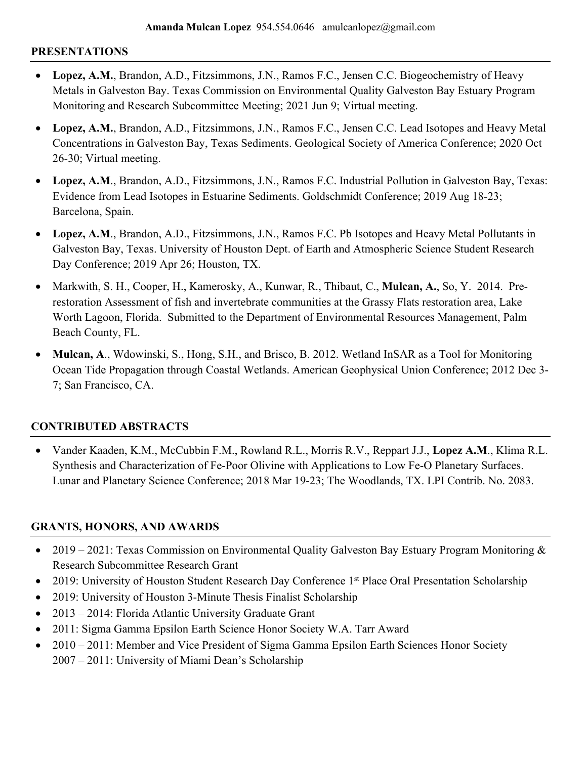### **PRESENTATIONS**

- **Lopez, A.M.**, Brandon, A.D., Fitzsimmons, J.N., Ramos F.C., Jensen C.C. Biogeochemistry of Heavy Metals in Galveston Bay. Texas Commission on Environmental Quality Galveston Bay Estuary Program Monitoring and Research Subcommittee Meeting; 2021 Jun 9; Virtual meeting.
- **Lopez, A.M.**, Brandon, A.D., Fitzsimmons, J.N., Ramos F.C., Jensen C.C. Lead Isotopes and Heavy Metal Concentrations in Galveston Bay, Texas Sediments. Geological Society of America Conference; 2020 Oct 26-30; Virtual meeting.
- **Lopez, A.M**., Brandon, A.D., Fitzsimmons, J.N., Ramos F.C. Industrial Pollution in Galveston Bay, Texas: Evidence from Lead Isotopes in Estuarine Sediments. Goldschmidt Conference; 2019 Aug 18-23; Barcelona, Spain.
- **Lopez, A.M**., Brandon, A.D., Fitzsimmons, J.N., Ramos F.C. Pb Isotopes and Heavy Metal Pollutants in Galveston Bay, Texas. University of Houston Dept. of Earth and Atmospheric Science Student Research Day Conference; 2019 Apr 26; Houston, TX.
- Markwith, S. H., Cooper, H., Kamerosky, A., Kunwar, R., Thibaut, C., **Mulcan, A.**, So, Y. 2014. Prerestoration Assessment of fish and invertebrate communities at the Grassy Flats restoration area, Lake Worth Lagoon, Florida. Submitted to the Department of Environmental Resources Management, Palm Beach County, FL.
- **Mulcan, A**., Wdowinski, S., Hong, S.H., and Brisco, B. 2012. Wetland InSAR as a Tool for Monitoring Ocean Tide Propagation through Coastal Wetlands. American Geophysical Union Conference; 2012 Dec 3- 7; San Francisco, CA.

# **CONTRIBUTED ABSTRACTS**

• Vander Kaaden, K.M., McCubbin F.M., Rowland R.L., Morris R.V., Reppart J.J., **Lopez A.M**., Klima R.L. Synthesis and Characterization of Fe-Poor Olivine with Applications to Low Fe-O Planetary Surfaces. Lunar and Planetary Science Conference; 2018 Mar 19-23; The Woodlands, TX. LPI Contrib. No. 2083.

## **GRANTS, HONORS, AND AWARDS**

- 2019 2021: Texas Commission on Environmental Quality Galveston Bay Estuary Program Monitoring  $\&$ Research Subcommittee Research Grant
- 2019: University of Houston Student Research Day Conference 1<sup>st</sup> Place Oral Presentation Scholarship
- 2019: University of Houston 3-Minute Thesis Finalist Scholarship
- 2013 2014: Florida Atlantic University Graduate Grant
- 2011: Sigma Gamma Epsilon Earth Science Honor Society W.A. Tarr Award
- 2010 2011: Member and Vice President of Sigma Gamma Epsilon Earth Sciences Honor Society 2007 – 2011: University of Miami Dean's Scholarship